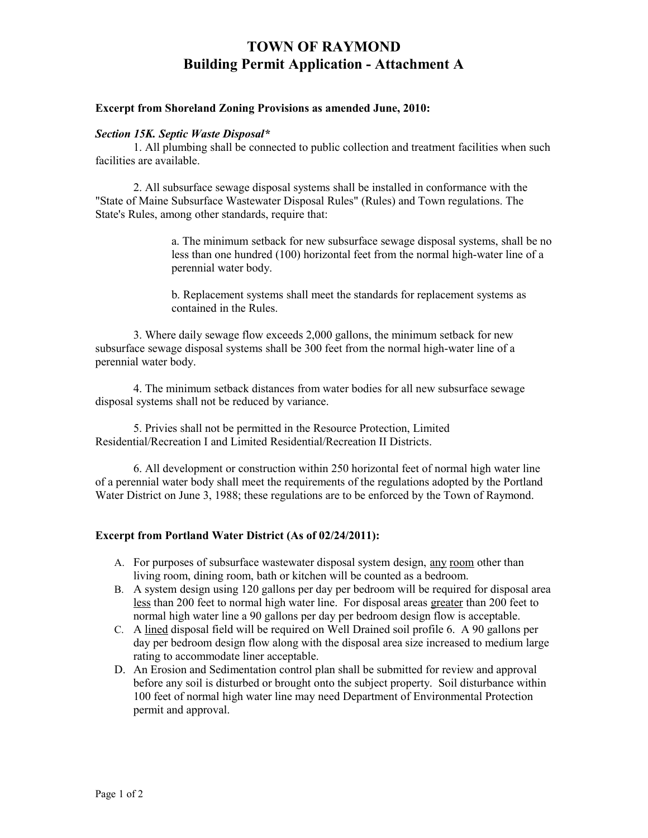# **TOWN OF RAYMOND Building Permit Application - Attachment A**

### **Excerpt from Shoreland Zoning Provisions as amended June, 2010:**

### *Section 15K. Septic Waste Disposal\**

1. All plumbing shall be connected to public collection and treatment facilities when such facilities are available.

2. All subsurface sewage disposal systems shall be installed in conformance with the "State of Maine Subsurface Wastewater Disposal Rules" (Rules) and Town regulations. The State's Rules, among other standards, require that:

> a. The minimum setback for new subsurface sewage disposal systems, shall be no less than one hundred (100) horizontal feet from the normal high-water line of a perennial water body.

b. Replacement systems shall meet the standards for replacement systems as contained in the Rules.

3. Where daily sewage flow exceeds 2,000 gallons, the minimum setback for new subsurface sewage disposal systems shall be 300 feet from the normal high-water line of a perennial water body.

4. The minimum setback distances from water bodies for all new subsurface sewage disposal systems shall not be reduced by variance.

5. Privies shall not be permitted in the Resource Protection, Limited Residential/Recreation I and Limited Residential/Recreation II Districts.

6. All development or construction within 250 horizontal feet of normal high water line of a perennial water body shall meet the requirements of the regulations adopted by the Portland Water District on June 3, 1988; these regulations are to be enforced by the Town of Raymond.

### **Excerpt from Portland Water District (As of 02/24/2011):**

- A. For purposes of subsurface wastewater disposal system design, any room other than living room, dining room, bath or kitchen will be counted as a bedroom.
- B. A system design using 120 gallons per day per bedroom will be required for disposal area less than 200 feet to normal high water line. For disposal areas greater than 200 feet to normal high water line a 90 gallons per day per bedroom design flow is acceptable.
- C. A lined disposal field will be required on Well Drained soil profile 6. A 90 gallons per day per bedroom design flow along with the disposal area size increased to medium large rating to accommodate liner acceptable.
- D. An Erosion and Sedimentation control plan shall be submitted for review and approval before any soil is disturbed or brought onto the subject property. Soil disturbance within 100 feet of normal high water line may need Department of Environmental Protection permit and approval.